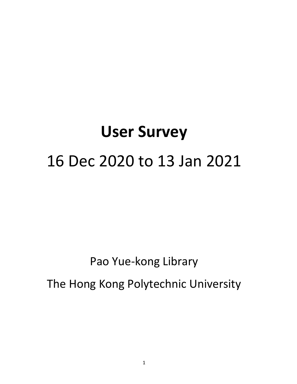# **User Survey** 16 Dec 2020 to 13 Jan 2021

## Pao Yue-kong Library

The Hong Kong Polytechnic University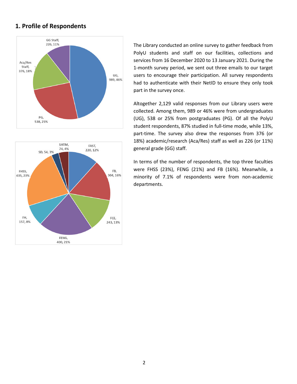#### **1. Profile of Respondents**





The Library conducted an online survey to gather feedback from PolyU students and staff on our facilities, collections and services from 16 December 2020 to 13 January 2021. During the 1-month survey period, we sent out three emails to our target users to encourage their participation. All survey respondents had to authenticate with their NetID to ensure they only took part in the survey once.

Altogether 2,129 valid responses from our Library users were collected. Among them, 989 or 46% were from undergraduates (UG), 538 or 25% from postgraduates (PG). Of all the PolyU student respondents, 87% studied in full-time mode, while 13%, part-time. The survey also drew the responses from 376 (or 18%) academic/research (Aca/Res) staff as well as 226 (or 11%) general grade (GG) staff.

In terms of the number of respondents, the top three faculties were FHSS (23%), FENG (21%) and FB (16%). Meanwhile, a minority of 7.1% of respondents were from non-academic departments.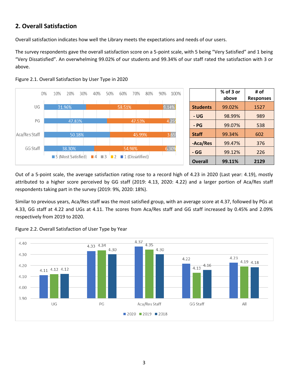#### **2. Overall Satisfaction**

Overall satisfaction indicates how well the Library meets the expectations and needs of our users.

The survey respondents gave the overall satisfaction score on a 5-point scale, with 5 being "Very Satisfied" and 1 being "Very Dissatisfied". An overwhelming 99.02% of our students and 99.34% of our staff rated the satisfaction with 3 or above.





Out of a 5-point scale, the average satisfaction rating rose to a record high of 4.23 in 2020 (Last year: 4.19), mostly attributed to a higher score perceived by GG staff (2019: 4.13, 2020: 4.22) and a larger portion of Aca/Res staff respondents taking part in the survey (2019: 9%, 2020: 18%).

Similar to previous years, Aca/Res staff was the most satisfied group, with an average score at 4.37, followed by PGs at 4.33, GG staff at 4.22 and UGs at 4.11. The scores from Aca/Res staff and GG staff increased by 0.45% and 2.09% respectively from 2019 to 2020.



Figure 2.2. Overall Satisfaction of User Type by Year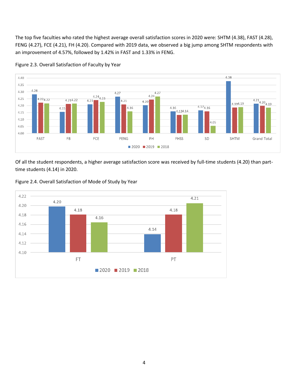The top five faculties who rated the highest average overall satisfaction scores in 2020 were: SHTM (4.38), FAST (4.28), FENG (4.27), FCE (4.21), FH (4.20). Compared with 2019 data, we observed a big jump among SHTM respondents with an improvement of 4.57%, followed by 1.42% in FAST and 1.33% in FENG.



Figure 2.3. Overall Satisfaction of Faculty by Year

Of all the student respondents, a higher average satisfaction score was received by full-time students (4.20) than parttime students (4.14) in 2020.



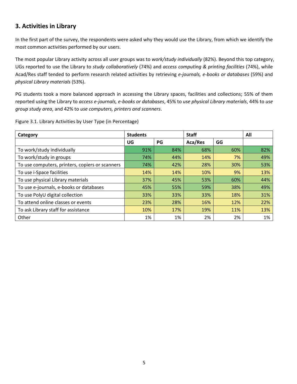### **3. Activities in Library**

In the first part of the survey, the respondents were asked why they would use the Library, from which we identify the most common activities performed by our users.

The most popular Library activity across all user groups was to *work/study individually* (82%). Beyond this top category, UGs reported to use the Library to *study collaboratively* (74%) and *access computing & printing facilities* (74%), while Acad/Res staff tended to perform research related activities by retrieving *e-journals, e-books or databases* (59%) and *physical Library materials* (53%).

PG students took a more balanced approach in accessing the Library spaces, facilities and collections; 55% of them reported using the Library to *access e-journals, e-books or databases*, 45% to *use physical Library materials*, 44% to *use group study area*, and 42% to *use computers, printers and scanners*.

| Category                                        | <b>Students</b> |     | <b>Staff</b> |     | All |
|-------------------------------------------------|-----------------|-----|--------------|-----|-----|
|                                                 | UG              | PG  | Aca/Res      | GG  |     |
| To work/study individually                      | 91%             | 84% | 68%          | 60% | 82% |
| To work/study in groups                         | 74%             | 44% | 14%          | 7%  | 49% |
| To use computers, printers, copiers or scanners | 74%             | 42% | 28%          | 30% | 53% |
| To use i-Space facilities                       | 14%             | 14% | 10%          | 9%  | 13% |
| To use physical Library materials               | 37%             | 45% | 53%          | 60% | 44% |
| To use e-journals, e-books or databases         | 45%             | 55% | 59%          | 38% | 49% |
| To use PolyU digital collection                 | 33%             | 33% | 33%          | 18% | 31% |
| To attend online classes or events              | 23%             | 28% | 16%          | 12% | 22% |
| To ask Library staff for assistance             | 10%             | 17% | 19%          | 11% | 13% |
| Other                                           | 1%              | 1%  | 2%           | 2%  | 1%  |

Figure 3.1. Library Activities by User Type (in Percentage)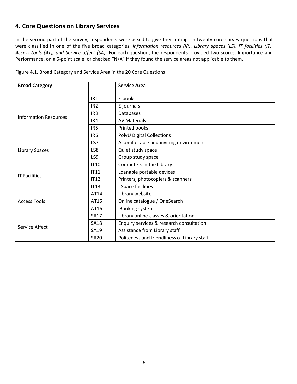#### **4. Core Questions on Library Services**

In the second part of the survey, respondents were asked to give their ratings in twenty core survey questions that were classified in one of the five broad categories: *Information resources (IR), Library spaces (LS), IT facilities (IT), Access tools (AT), and Service affect (SA).* For each question, the respondents provided two scores: Importance and Performance, on a 5-point scale, or checked "N/A" if they found the service areas not applicable to them.

| <b>Broad Category</b>        |                 | <b>Service Area</b>                          |  |  |
|------------------------------|-----------------|----------------------------------------------|--|--|
|                              | IR <sub>1</sub> | E-books                                      |  |  |
|                              | IR <sub>2</sub> | E-journals                                   |  |  |
|                              | IR <sub>3</sub> | Databases                                    |  |  |
| <b>Information Resources</b> | IR4             | <b>AV Materials</b>                          |  |  |
|                              | IR <sub>5</sub> | Printed books                                |  |  |
|                              | IR <sub>6</sub> | PolyU Digital Collections                    |  |  |
|                              | LS7             | A comfortable and inviting environment       |  |  |
| <b>Library Spaces</b>        | LS8             | Quiet study space                            |  |  |
|                              | LS9             | Group study space                            |  |  |
|                              | <b>IT10</b>     | Computers in the Library                     |  |  |
|                              | <b>IT11</b>     | Loanable portable devices                    |  |  |
| <b>IT Facilities</b>         | <b>IT12</b>     | Printers, photocopiers & scanners            |  |  |
|                              | IT13            | <i>i-Space facilities</i>                    |  |  |
|                              | AT14            | Library website                              |  |  |
| <b>Access Tools</b>          | AT15            | Online catalogue / OneSearch                 |  |  |
|                              | AT16            | iBooking system                              |  |  |
|                              | <b>SA17</b>     | Library online classes & orientation         |  |  |
| Service Affect               | <b>SA18</b>     | Enquiry services & research consultation     |  |  |
|                              | SA19            | Assistance from Library staff                |  |  |
|                              | <b>SA20</b>     | Politeness and friendliness of Library staff |  |  |

Figure 4.1. Broad Category and Service Area in the 20 Core Questions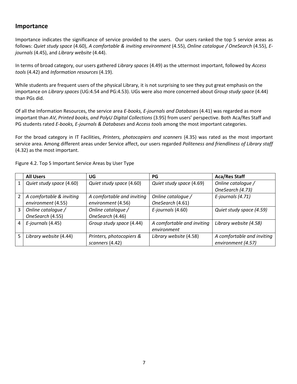#### **Importance**

Importance indicates the significance of service provided to the users. Our users ranked the top 5 service areas as follows: *Quiet study space* (4.60), *A comfortable & inviting environment* (4.55), *Online catalogue / OneSearch* (4.55), *Ejournals* (4.45), and *Library website* (4.44).

In terms of broad category, our users gathered *Library spaces* (4.49) as the uttermost important, followed by *Access tools* (4.42) and *Information resources* (4.19).

While students are frequent users of the physical Library, it is not surprising to see they put great emphasis on the importance on *Library spaces* (UG:4.54 and PG:4.53). UGs were also more concerned about *Group study space* (4.44) than PGs did.

Of all the Information Resources, the service area *E-books, E-journals and Databases* (4.41) was regarded as more important than *AV, Printed books, and PolyU Digital Collections* (3.95) from users' perspective. Both Aca/Res Staff and PG students rated *E-books, E-journals & Databases* and *Access tools* among the most important categories.

For the broad category in IT Facilities, *Printers, photocopiers and scanners* (4.35) was rated as the most important service area. Among different areas under Service affect, our users regarded *Politeness and friendliness of Library staff* (4.32) as the most important.

|                | <b>All Users</b>         | UG                         | PG                         | <b>Aca/Res Staff</b>       |
|----------------|--------------------------|----------------------------|----------------------------|----------------------------|
|                | Quiet study space (4.60) | Quiet study space (4.60)   | Quiet study space (4.69)   | Online catalogue /         |
|                |                          |                            |                            | OneSearch (4.73)           |
| $\overline{2}$ | A comfortable & inviting | A comfortable and inviting | Online cataloque /         | E-journals (4.71)          |
|                | environment (4.55)       | environment (4.56)         | OneSearch (4.61)           |                            |
| 3              | Online catalogue /       | Online catalogue /         | E-journals (4.60)          | Quiet study space (4.59)   |
|                | OneSearch (4.55)         | OneSearch (4.46)           |                            |                            |
| 4              | E-journals (4.45)        | Group study space (4.44)   | A comfortable and inviting | Library website (4.58)     |
|                |                          |                            | environment                |                            |
| 5.             | Library website (4.44)   | Printers, photocopiers &   | Library website (4.58)     | A comfortable and inviting |
|                |                          | scanners (4.42)            |                            | environment (4.57)         |

Figure 4.2. Top 5 Important Service Areas by User Type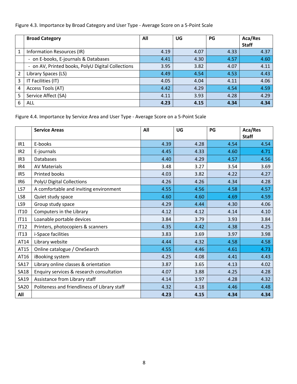#### Figure 4.3. Importance by Broad Category and User Type - Average Score on a 5-Point Scale

|               | <b>Broad Category</b>                             | All  | UG   | PG   | Aca/Res<br><b>Staff</b> |
|---------------|---------------------------------------------------|------|------|------|-------------------------|
| 1             | Information Resources (IR)                        | 4.19 | 4.07 | 4.33 | 4.37                    |
|               | - on E-books, E-journals & Databases              | 4.41 | 4.30 | 4.57 | 4.60                    |
|               | - on AV, Printed books, PolyU Digital Collections | 3.95 | 3.82 | 4.07 | 4.11                    |
| $\mathcal{P}$ | Library Spaces (LS)                               | 4.49 | 4.54 | 4.53 | 4.43                    |
| 3             | IT Facilities (IT)                                | 4.05 | 4.04 | 4.11 | 4.06                    |
| 4             | Access Tools (AT)                                 | 4.42 | 4.29 | 4.54 | 4.59                    |
| 5             | Service Affect (SA)                               | 4.11 | 3.93 | 4.28 | 4.29                    |
| 6             | ALL                                               | 4.23 | 4.15 | 4.34 | 4.34                    |

Figure 4.4. Importance by Service Area and User Type - Average Score on a 5-Point Scale

|                 | <b>Service Areas</b>                         | All  | UG   | PG   | Aca/Res<br><b>Staff</b> |
|-----------------|----------------------------------------------|------|------|------|-------------------------|
| IR1             | E-books                                      | 4.39 | 4.28 | 4.54 | 4.54                    |
| IR <sub>2</sub> | E-journals                                   | 4.45 | 4.33 | 4.60 | 4.71                    |
| IR <sub>3</sub> | <b>Databases</b>                             | 4.40 | 4.29 | 4.57 | 4.56                    |
| IR4             | <b>AV Materials</b>                          | 3.48 | 3.27 | 3.54 | 3.69                    |
| IR5             | Printed books                                | 4.03 | 3.82 | 4.22 | 4.27                    |
| IR <sub>6</sub> | <b>PolyU Digital Collections</b>             | 4.26 | 4.26 | 4.34 | 4.28                    |
| LS7             | A comfortable and inviting environment       | 4.55 | 4.56 | 4.58 | 4.57                    |
| LS8             | Quiet study space                            | 4.60 | 4.60 | 4.69 | 4.59                    |
| LS9             | Group study space                            | 4.29 | 4.44 | 4.30 | 4.06                    |
| <b>IT10</b>     | Computers in the Library                     | 4.12 | 4.12 | 4.14 | 4.10                    |
| IT11            | Loanable portable devices                    | 3.84 | 3.79 | 3.93 | 3.84                    |
| <b>IT12</b>     | Printers, photocopiers & scanners            | 4.35 | 4.42 | 4.38 | 4.25                    |
| IT13            | <i>i-Space facilities</i>                    | 3.83 | 3.69 | 3.97 | 3.98                    |
| AT14            | Library website                              | 4.44 | 4.32 | 4.58 | 4.58                    |
| AT15            | Online catalogue / OneSearch                 | 4.55 | 4.46 | 4.61 | 4.73                    |
| AT16            | iBooking system                              | 4.25 | 4.08 | 4.41 | 4.43                    |
| <b>SA17</b>     | Library online classes & orientation         | 3.87 | 3.65 | 4.13 | 4.02                    |
| <b>SA18</b>     | Enquiry services & research consultation     | 4.07 | 3.88 | 4.25 | 4.28                    |
| SA19            | Assistance from Library staff                | 4.14 | 3.97 | 4.28 | 4.32                    |
| <b>SA20</b>     | Politeness and friendliness of Library staff | 4.32 | 4.18 | 4.46 | 4.48                    |
| All             |                                              | 4.23 | 4.15 | 4.34 | 4.34                    |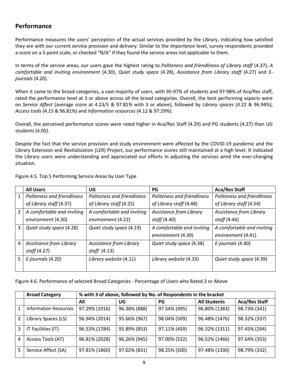#### **Performance**

Performance measures the users' perception of the actual services provided by the Library, indicating how satisfied they are with our current service provision and delivery. Similar to the *Importance* level, survey respondents provided a score on a 5-point scale, or checked "N/A" if they found the service areas not applicable to them.

In terms of the service areas, our users gave the highest rating to *Politeness and friendliness of Library staff* (4.37), *A comfortable and inviting environment* (4.30), *Quiet study space* (4.28), *Assistance from Library staff* (4.27) and *Ejournals* (4.20).

When it came to the broad categories, a vast majority of users, with 95-97% of students and 97-98% of Aca/Res staff, rated the performance level at 3 or above across all the broad categories. Overall, the best performing aspects were on *Service Affect* (average score at 4.23/5 & 97.81% with 3 or above), followed by *Library spaces* (4.22 & 96.94%), *Access tools* (4.15 & 96.81%) and *Information resources* (4.12 & 97.29%).

Overall, the perceived performance scores were rated higher in Aca/Res Staff (4.29) and PG students (4.27) than UG students (4.05).

Despite the fact that the service provision and study environment were affected by the COVID-19 pandemic and the Library Extension and Revitalization (LER) Project, our performance scores still maintained at a high level. It indicated the Library users were understanding and appreciated our efforts in adjusting the services amid the ever-changing situation.

|    | <b>All Users</b>            | UG                          | <b>PG</b>                   | <b>Aca/Res Staff</b>        |
|----|-----------------------------|-----------------------------|-----------------------------|-----------------------------|
|    | Politeness and friendliness | Politeness and friendliness | Politeness and friendliness | Politeness and friendliness |
|    | of Library staff (4.37)     | of Library staff (4.25)     | of Library staff (4.48)     | of Library staff (4.54)     |
| 2  | A comfortable and inviting  | A comfortable and inviting  | Assistance from Library     | Assistance from Library     |
|    | environment (4.30)          | environment (4.22)          | staff (4.40)                | staff (4.46)                |
| 3  | Quiet study space (4.28)    | Quiet study space (4.19)    | A comfortable and inviting  | A comfortable and inviting  |
|    |                             |                             | environment (4.39)          | environment (4.41)          |
| 4  | Assistance from Library     | Assistance from Library     | Quiet study space (4.38)    | E-journals (4.40)           |
|    | <i>staff</i> (4.27)         | staff $(4.13)$              |                             |                             |
| 5. | E-journals (4.20)           | Library website (4.11)      | Library website (4.33)      | Quiet study space (4.39)    |
|    |                             |                             |                             |                             |

Figure 4.5. Top 5 Performing Service Areas by User Type

Figure 4.6. Performance of selected Broad Categories - Percentage of Users who Rated 3 or Above

|               | <b>Broad Category</b>        | % with 3 of above, followed by No. of Respondents in the bracket |              |              |                     |                      |  |  |  |
|---------------|------------------------------|------------------------------------------------------------------|--------------|--------------|---------------------|----------------------|--|--|--|
|               |                              | All                                                              | UG           | PG           | <b>All Students</b> | <b>Aca/Res Staff</b> |  |  |  |
|               | <b>Information Resources</b> | 97.29% (1916)                                                    | 96.38% (888) | 97.54% (495) | 96.80% (1383)       | 98.73% (341)         |  |  |  |
| $\mathfrak z$ | Library Spaces (LS)          | 96.94% (2014)                                                    | 95.66% (967) | 98.04% (509) | 96.48% (1476)       | 98.32% (337)         |  |  |  |
| 3             | IT Facilities (IT)           | 96.53% (1784)                                                    | 95.89% (853) | 97.11% (459) | 96.32% (1311)       | 97.45% (294)         |  |  |  |
| 4             | Access Tools (AT)            | 96.81% (2028)                                                    | 96.26% (945) | 97.00% (522) | 96.52% (1466)       | 97.64% (353)         |  |  |  |
| 5.            | Service Affect (SA)          | 97.81% (1860)                                                    | 97.02% (831) | 98.25% (500) | 97.48% (1330)       | 98.79% (332)         |  |  |  |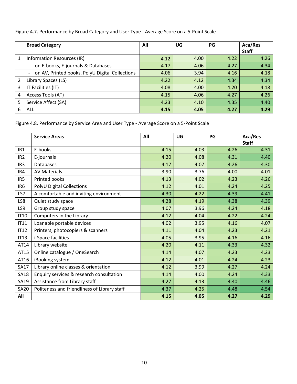| Figure 4.7. Performance by Broad Category and User Type - Average Score on a 5-Point Scale |  |  |  |
|--------------------------------------------------------------------------------------------|--|--|--|
|                                                                                            |  |  |  |

|   | <b>Broad Category</b>                           | All  | UG   | PG   | Aca/Res<br><b>Staff</b> |
|---|-------------------------------------------------|------|------|------|-------------------------|
| 1 | Information Resources (IR)                      | 4.12 | 4.00 | 4.22 | 4.26                    |
|   | on E-books, E-journals & Databases              | 4.17 | 4.06 | 4.27 | 4.34                    |
|   | on AV, Printed books, PolyU Digital Collections | 4.06 | 3.94 | 4.16 | 4.18                    |
| 2 | Library Spaces (LS)                             | 4.22 | 4.12 | 4.34 | 4.34                    |
| 3 | IT Facilities (IT)                              | 4.08 | 4.00 | 4.20 | 4.18                    |
| 4 | Access Tools (AT)                               | 4.15 | 4.06 | 4.27 | 4.26                    |
| 5 | Service Affect (SA)                             | 4.23 | 4.10 | 4.35 | 4.40                    |
| 6 | ALL                                             | 4.15 | 4.05 | 4.27 | 4.29                    |

Figure 4.8. Performance by Service Area and User Type - Average Score on a 5-Point Scale

|                 | <b>Service Areas</b>                         | All  | UG   | PG   | Aca/Res<br><b>Staff</b> |
|-----------------|----------------------------------------------|------|------|------|-------------------------|
| IR <sub>1</sub> | E-books                                      | 4.15 | 4.03 | 4.26 | 4.31                    |
| IR <sub>2</sub> | E-journals                                   | 4.20 | 4.08 | 4.31 | 4.40                    |
| IR <sub>3</sub> | <b>Databases</b>                             | 4.17 | 4.07 | 4.26 | 4.30                    |
| IR4             | <b>AV Materials</b>                          | 3.90 | 3.76 | 4.00 | 4.01                    |
| IR <sub>5</sub> | Printed books                                | 4.13 | 4.02 | 4.23 | 4.26                    |
| IR <sub>6</sub> | <b>PolyU Digital Collections</b>             | 4.12 | 4.01 | 4.24 | 4.25                    |
| LS7             | A comfortable and inviting environment       | 4.30 | 4.22 | 4.39 | 4.41                    |
| LS8             | Quiet study space                            | 4.28 | 4.19 | 4.38 | 4.39                    |
| LS9             | Group study space                            | 4.07 | 3.96 | 4.24 | 4.18                    |
| <b>IT10</b>     | Computers in the Library                     | 4.12 | 4.04 | 4.22 | 4.24                    |
| IT11            | Loanable portable devices                    | 4.02 | 3.95 | 4.16 | 4.07                    |
| <b>IT12</b>     | Printers, photocopiers & scanners            | 4.11 | 4.04 | 4.23 | 4.21                    |
| <b>IT13</b>     | <i>i-Space facilities</i>                    | 4.05 | 3.95 | 4.16 | 4.16                    |
| AT14            | Library website                              | 4.20 | 4.11 | 4.33 | 4.32                    |
| AT15            | Online catalogue / OneSearch                 | 4.14 | 4.07 | 4.23 | 4.23                    |
| AT16            | iBooking system                              | 4.12 | 4.01 | 4.24 | 4.23                    |
| <b>SA17</b>     | Library online classes & orientation         | 4.12 | 3.99 | 4.27 | 4.24                    |
| <b>SA18</b>     | Enquiry services & research consultation     | 4.14 | 4.00 | 4.24 | 4.33                    |
| SA19            | Assistance from Library staff                | 4.27 | 4.13 | 4.40 | 4.46                    |
| <b>SA20</b>     | Politeness and friendliness of Library staff | 4.37 | 4.25 | 4.48 | 4.54                    |
| All             |                                              | 4.15 | 4.05 | 4.27 | 4.29                    |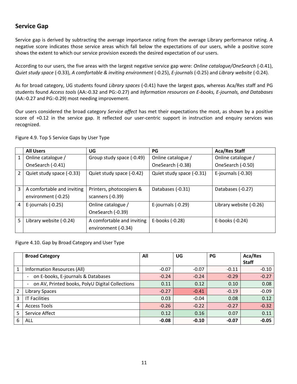#### **Service Gap**

Service gap is derived by subtracting the average importance rating from the average Library performance rating. A negative score indicates those service areas which fall below the expectations of our users, while a positive score shows the extent to which our service provision exceeds the desired expectation of our users.

According to our users, the five areas with the largest negative service gap were: *Online catalogue/OneSearch* (-0.41), *Quiet study space* (-0.33), *A comfortable & inviting environment* (-0.25), *E-journals* (-0.25) and *Library website* (-0.24).

As for broad category, UG students found *Library spaces* (-0.41) have the largest gaps, whereas Aca/Res staff and PG students found *Access tools* (AA:*-*0.32 and PG:-0.27) and *Information resources on E-books, E-journals, and Databases* (AA:-0.27 and PG:-0.29) most needing improvement.

Our users considered the broad category *Service affect* has met their expectations the most, as shown by a positive score of +0.12 in the service gap. It reflected our user-centric support in instruction and enquiry services was recognized.

|               | <b>All Users</b>           | UG                         | PG                        | <b>Aca/Res Staff</b>    |
|---------------|----------------------------|----------------------------|---------------------------|-------------------------|
| 1             | Online catalogue /         | Group study space (-0.49)  | Online catalogue /        | Online catalogue /      |
|               | OneSearch (-0.41)          |                            | OneSearch (-0.38)         | OneSearch (-0.50)       |
| $\mathcal{P}$ | Quiet study space (-0.33)  | Quiet study space (-0.42)  | Quiet study space (-0.31) | E-journals (-0.30)      |
| 3             | A comfortable and inviting | Printers, photocopiers &   | Databases (-0.31)         | Databases (-0.27)       |
|               | environment (-0.25)        | scanners (-0.39)           |                           |                         |
| 4             | E-journals $(-0.25)$       | Online catalogue /         | E-journals (-0.29)        | Library website (-0.26) |
|               |                            | OneSearch (-0.39)          |                           |                         |
| 5             | Library website (-0.24)    | A comfortable and inviting | E-books (-0.28)           | E-books (-0.24)         |
|               |                            | environment (-0.34)        |                           |                         |

Figure 4.9. Top 5 Service Gaps by User Type

Figure 4.10. Gap by Broad Category and User Type

|   | <b>Broad Category</b>                           | All     | UG      | PG      | Aca/Res      |
|---|-------------------------------------------------|---------|---------|---------|--------------|
|   |                                                 |         |         |         | <b>Staff</b> |
| 1 | Information Resources (All)                     | $-0.07$ | $-0.07$ | $-0.11$ | $-0.10$      |
|   | on E-books, E-journals & Databases              | $-0.24$ | $-0.24$ | $-0.29$ | $-0.27$      |
|   | on AV, Printed books, PolyU Digital Collections | 0.11    | 0.12    | 0.10    | 0.08         |
| 2 | <b>Library Spaces</b>                           | $-0.27$ | $-0.41$ | $-0.19$ | $-0.09$      |
| 3 | <b>IT Facilities</b>                            | 0.03    | $-0.04$ | 0.08    | 0.12         |
| 4 | <b>Access Tools</b>                             | $-0.26$ | $-0.22$ | $-0.27$ | $-0.32$      |
| 5 | Service Affect                                  | 0.12    | 0.16    | 0.07    | 0.11         |
| 6 | <b>ALL</b>                                      | $-0.08$ | $-0.10$ | $-0.07$ | $-0.05$      |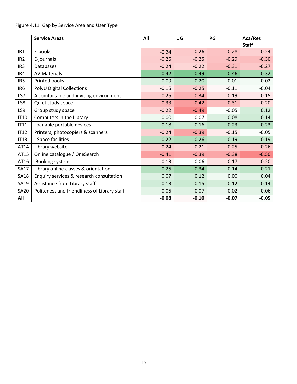#### Figure 4.11. Gap by Service Area and User Type

|                 | <b>Service Areas</b>                         | All     | UG      | PG      | Aca/Res<br><b>Staff</b> |
|-----------------|----------------------------------------------|---------|---------|---------|-------------------------|
| IR1             | E-books                                      | $-0.24$ | $-0.26$ | $-0.28$ | $-0.24$                 |
| IR <sub>2</sub> | E-journals                                   | $-0.25$ | $-0.25$ | $-0.29$ | $-0.30$                 |
| IR <sub>3</sub> | <b>Databases</b>                             | $-0.24$ | $-0.22$ | $-0.31$ | $-0.27$                 |
| IR4             | <b>AV Materials</b>                          | 0.42    | 0.49    | 0.46    | 0.32                    |
| IR5             | <b>Printed books</b>                         | 0.09    | 0.20    | 0.01    | $-0.02$                 |
| IR <sub>6</sub> | PolyU Digital Collections                    | $-0.15$ | $-0.25$ | $-0.11$ | $-0.04$                 |
| LS7             | A comfortable and inviting environment       | $-0.25$ | $-0.34$ | $-0.19$ | $-0.15$                 |
| LS8             | Quiet study space                            | $-0.33$ | $-0.42$ | $-0.31$ | $-0.20$                 |
| LS9             | Group study space                            | $-0.22$ | $-0.49$ | $-0.05$ | 0.12                    |
| <b>IT10</b>     | Computers in the Library                     | 0.00    | $-0.07$ | 0.08    | 0.14                    |
| IT11            | Loanable portable devices                    | 0.18    | 0.16    | 0.23    | 0.23                    |
| IT12            | Printers, photocopiers & scanners            | $-0.24$ | $-0.39$ | $-0.15$ | $-0.05$                 |
| <b>IT13</b>     | i-Space facilities                           | 0.22    | 0.26    | 0.19    | 0.19                    |
| AT14            | Library website                              | $-0.24$ | $-0.21$ | $-0.25$ | $-0.26$                 |
| AT15            | Online catalogue / OneSearch                 | $-0.41$ | $-0.39$ | $-0.38$ | $-0.50$                 |
| AT16            | iBooking system                              | $-0.13$ | $-0.06$ | $-0.17$ | $-0.20$                 |
| <b>SA17</b>     | Library online classes & orientation         | 0.25    | 0.34    | 0.14    | 0.21                    |
| <b>SA18</b>     | Enquiry services & research consultation     | 0.07    | 0.12    | 0.00    | 0.04                    |
| SA19            | Assistance from Library staff                | 0.13    | 0.15    | 0.12    | 0.14                    |
| <b>SA20</b>     | Politeness and friendliness of Library staff | 0.05    | 0.07    | 0.02    | 0.06                    |
| All             |                                              | $-0.08$ | $-0.10$ | $-0.07$ | $-0.05$                 |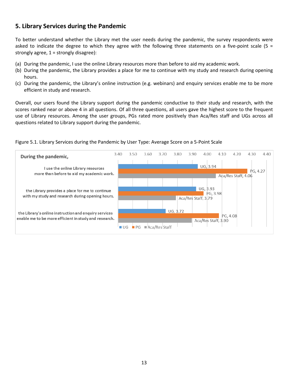#### **5. Library Services during the Pandemic**

To better understand whether the Library met the user needs during the pandemic, the survey respondents were asked to indicate the degree to which they agree with the following three statements on a five-point scale (5 = strongly agree, 1 = strongly disagree):

- (a) During the pandemic, I use the online Library resources more than before to aid my academic work.
- (b) During the pandemic, the Library provides a place for me to continue with my study and research during opening hours.
- (c) During the pandemic, the Library's online instruction (e.g. webinars) and enquiry services enable me to be more efficient in study and research.

Overall, our users found the Library support during the pandemic conductive to their study and research, with the scores ranked near or above 4 in all questions. Of all three questions, all users gave the highest score to the frequent use of Library resources. Among the user groups, PGs rated more positively than Aca/Res staff and UGs across all questions related to Library support during the pandemic.



#### Figure 5.1. Library Services during the Pandemic by User Type: Average Score on a 5-Point Scale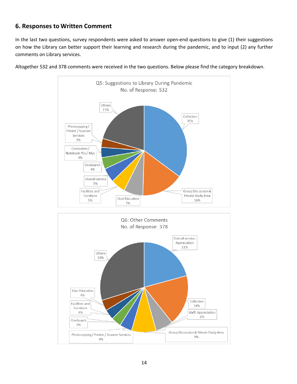#### **6. Responses to Written Comment**

In the last two questions, survey respondents were asked to answer open-end questions to give (1) their suggestions on how the Library can better support their learning and research during the pandemic, and to input (2) any further comments on Library services.



Altogether 532 and 378 comments were received in the two questions. Below please find the category breakdown.

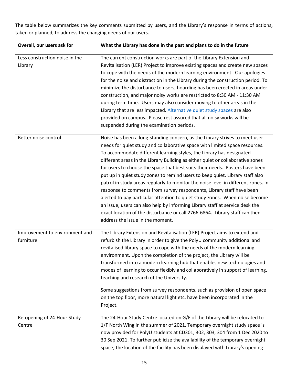The table below summarizes the key comments submitted by users, and the Library's response in terms of actions, taken or planned, to address the changing needs of our users.

| Overall, our users ask for                  | What the Library has done in the past and plans to do in the future                                                                                                                                                                                                                                                                                                                                                                                                                                                                                                                                                                                                                                                                                                                                                                                                                                                                   |
|---------------------------------------------|---------------------------------------------------------------------------------------------------------------------------------------------------------------------------------------------------------------------------------------------------------------------------------------------------------------------------------------------------------------------------------------------------------------------------------------------------------------------------------------------------------------------------------------------------------------------------------------------------------------------------------------------------------------------------------------------------------------------------------------------------------------------------------------------------------------------------------------------------------------------------------------------------------------------------------------|
| Less construction noise in the<br>Library   | The current construction works are part of the Library Extension and<br>Revitalisation (LER) Project to improve existing spaces and create new spaces<br>to cope with the needs of the modern learning environment. Our apologies<br>for the noise and distraction in the Library during the construction period. To<br>minimize the disturbance to users, hoarding has been erected in areas under<br>construction, and major noisy works are restricted to 8:30 AM - 11:30 AM<br>during term time. Users may also consider moving to other areas in the<br>Library that are less impacted. Alternative quiet study spaces are also<br>provided on campus. Please rest assured that all noisy works will be<br>suspended during the examination periods.                                                                                                                                                                             |
| Better noise control                        | Noise has been a long-standing concern, as the Library strives to meet user<br>needs for quiet study and collaborative space with limited space resources.<br>To accommodate different learning styles, the Library has designated<br>different areas in the Library Building as either quiet or collaborative zones<br>for users to choose the space that best suits their needs. Posters have been<br>put up in quiet study zones to remind users to keep quiet. Library staff also<br>patrol in study areas regularly to monitor the noise level in different zones. In<br>response to comments from survey respondents, Library staff have been<br>alerted to pay particular attention to quiet study zones. When noise become<br>an issue, users can also help by informing Library staff at service desk the<br>exact location of the disturbance or call 2766-6864. Library staff can then<br>address the issue in the moment. |
| Improvement to environment and<br>furniture | The Library Extension and Revitalisation (LER) Project aims to extend and<br>refurbish the Library in order to give the PolyU community additional and<br>revitalised library space to cope with the needs of the modern learning<br>environment. Upon the completion of the project, the Library will be<br>transformed into a modern learning hub that enables new technologies and<br>modes of learning to occur flexibly and collaboratively in support of learning,<br>teaching and research of the University.<br>Some suggestions from survey respondents, such as provision of open space<br>on the top floor, more natural light etc. have been incorporated in the<br>Project.                                                                                                                                                                                                                                              |
| Re-opening of 24-Hour Study<br>Centre       | The 24-Hour Study Centre located on G/F of the Library will be relocated to<br>1/F North Wing in the summer of 2021. Temporary overnight study space is<br>now provided for PolyU students at CD301, 302, 303, 304 from 1 Dec 2020 to<br>30 Sep 2021. To further publicize the availability of the temporary overnight<br>space, the location of the facility has been displayed with Library's opening                                                                                                                                                                                                                                                                                                                                                                                                                                                                                                                               |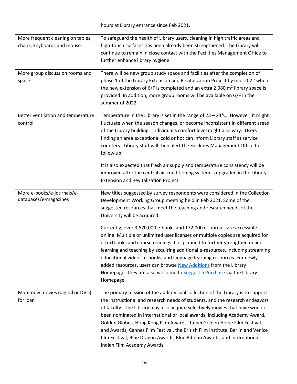|                                                                  | hours at Library entrance since Feb 2021.                                                                                                                                                                                                                                                                                                                                                                                                                                                                                                                                                             |
|------------------------------------------------------------------|-------------------------------------------------------------------------------------------------------------------------------------------------------------------------------------------------------------------------------------------------------------------------------------------------------------------------------------------------------------------------------------------------------------------------------------------------------------------------------------------------------------------------------------------------------------------------------------------------------|
| More frequent cleaning on tables,<br>chairs, keyboards and mouse | To safeguard the health of Library users, cleaning in high traffic areas and<br>high-touch surfaces has been already been strengthened. The Library will<br>continue to remain in close contact with the Facilities Management Office to<br>further enhance library hygiene.                                                                                                                                                                                                                                                                                                                          |
| More group discussion rooms and<br>space                         | There will be new group study space and facilities after the completion of<br>phase 1 of the Library Extension and Revitalization Project by mid-2022 when<br>the new extension of $6/F$ is completed and an extra 2,080 $m2$ library space is<br>provided. In addition, more group rooms will be available on G/F in the<br>summer of 2022.                                                                                                                                                                                                                                                          |
| Better ventilation and temperature<br>control                    | Temperature in the Library is set in the range of $23 - 24$ °C. However, it might<br>fluctuate when the season changes, or become inconsistent in different areas<br>of the Library building. Individual's comfort level might also vary. Users<br>finding an area exceptional cold or hot can inform Library staff at service<br>counters. Library staff will then alert the Facilities Management Office to<br>follow up.                                                                                                                                                                           |
|                                                                  | It is also expected that fresh air supply and temperature consistency will be<br>improved after the central air-conditioning system is upgraded in the Library<br>Extension and Revitalization Project.                                                                                                                                                                                                                                                                                                                                                                                               |
| More e-books/e-journals/e-<br>databases/e-magazines              | New titles suggested by survey respondents were considered in the Collection<br>Development Working Group meeting held in Feb 2021. Some of the<br>suggested resources that meet the teaching and research needs of the<br>University will be acquired.                                                                                                                                                                                                                                                                                                                                               |
|                                                                  | Currently, over 3,670,000 e-books and 172,000 e-journals are accessible<br>online. Multiple or unlimited user licenses or multiple copies are acquired for<br>e-textbooks and course readings. It is planned to further strengthen online<br>learning and teaching by acquiring additional e-resources, including streaming<br>educational videos, e-books, and language learning resources. For newly<br>added resources, users can browse New Additions from the Library<br>Homepage. They are also welcome to Suggest a Purchase via the Library<br>Homepage.                                      |
| More new movies (digital or DVD)<br>for loan                     | The primary mission of the audio-visual collection of the Library is to support<br>the instructional and research needs of students, and the research endeavors<br>of faculty. The Library may also acquire selectively movies that have won or<br>been nominated in international or local awards, including Academy Award,<br>Golden Globes, Hong Kong Film Awards, Taipei Golden Horse Film Festival<br>and Awards, Cannes Film Festival, the British Film Institute, Berlin and Venice<br>film Festival, Blue Dragon Awards, Blue Ribbon Awards, and International<br>Indian Film Academy Awards. |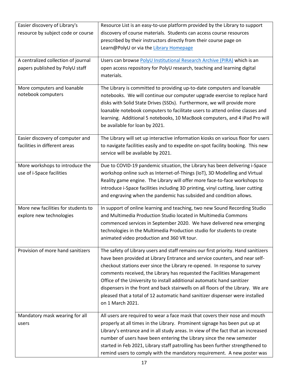| Easier discovery of Library's       | Resource List is an easy-to-use platform provided by the Library to support       |
|-------------------------------------|-----------------------------------------------------------------------------------|
| resource by subject code or course  | discovery of course materials. Students can access course resources               |
|                                     | prescribed by their instructors directly from their course page on                |
|                                     | Learn@PolyU or via the Library Homepage                                           |
| A centralized collection of journal | Users can browse PolyU Institutional Research Archive (PIRA) which is an          |
| papers published by PolyU staff     | open access repository for PolyU research, teaching and learning digital          |
|                                     | materials.                                                                        |
| More computers and loanable         | The Library is committed to providing up-to-date computers and loanable           |
| notebook computers                  | notebooks. We will continue our computer upgrade exercise to replace hard         |
|                                     | disks with Solid State Drives (SSDs). Furthermore, we will provide more           |
|                                     | loanable notebook computers to facilitate users to attend online classes and      |
|                                     | learning. Additional 5 notebooks, 10 MacBook computers, and 4 iPad Pro will       |
|                                     | be available for loan by 2021.                                                    |
| Easier discovery of computer and    | The Library will set up interactive information kiosks on various floor for users |
| facilities in different areas       | to navigate facilities easily and to expedite on-spot facility booking. This new  |
|                                     | service will be available by 2021.                                                |
| More workshops to introduce the     | Due to COVID-19 pandemic situation, the Library has been delivering i-Space       |
| use of i-Space facilities           | workshop online such as Internet-of-Things (IoT), 3D Modelling and Virtual        |
|                                     | Reality game engine. The Library will offer more face-to-face workshops to        |
|                                     | introduce i-Space facilities including 3D printing, vinyl cutting, laser cutting  |
|                                     | and engraving when the pandemic has subsided and condition allows.                |
| More new facilities for students to | In support of online learning and teaching, two new Sound Recording Studio        |
| explore new technologies            | and Multimedia Production Studio located in Multimedia Commons                    |
|                                     | commenced services in September 2020. We have delivered new emerging              |
|                                     | technologies in the Multimedia Production studio for students to create           |
|                                     | animated video production and 360 VR tour.                                        |
| Provision of more hand sanitizers   | The safety of Library users and staff remains our first priority. Hand sanitizers |
|                                     | have been provided at Library Entrance and service counters, and near self-       |
|                                     | checkout stations ever since the Library re-opened. In response to survey         |
|                                     | comments received, the Library has requested the Facilities Management            |
|                                     | Office of the University to install additional automatic hand sanitizer           |
|                                     | dispensers in the front and back stairwells on all floors of the Library. We are  |
|                                     | pleased that a total of 12 automatic hand sanitizer dispenser were installed      |
|                                     | on 1 March 2021.                                                                  |
| Mandatory mask wearing for all      | All users are required to wear a face mask that covers their nose and mouth       |
| users                               | properly at all times in the Library. Prominent signage has been put up at        |
|                                     | Library's entrance and in all study areas. In view of the fact that an increased  |
|                                     | number of users have been entering the Library since the new semester             |
|                                     | started in Feb 2021, Library staff patrolling has been further strengthened to    |
|                                     | remind users to comply with the mandatory requirement. A new poster was           |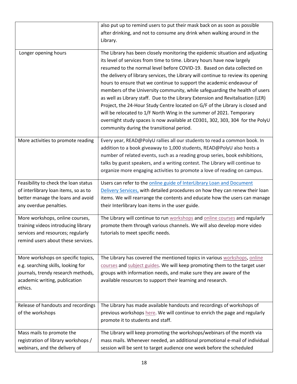|                                      | also put up to remind users to put their mask back on as soon as possible         |
|--------------------------------------|-----------------------------------------------------------------------------------|
|                                      | after drinking, and not to consume any drink when walking around in the           |
|                                      | Library.                                                                          |
|                                      |                                                                                   |
| Longer opening hours                 | The Library has been closely monitoring the epidemic situation and adjusting      |
|                                      | its level of services from time to time. Library hours have now largely           |
|                                      | resumed to the normal level before COVID-19. Based on data collected on           |
|                                      | the delivery of library services, the Library will continue to review its opening |
|                                      | hours to ensure that we continue to support the academic endeavour of             |
|                                      | members of the University community, while safeguarding the health of users       |
|                                      | as well as Library staff. Due to the Library Extension and Revitalisation (LER)   |
|                                      | Project, the 24-Hour Study Centre located on G/F of the Library is closed and     |
|                                      | will be relocated to 1/F North Wing in the summer of 2021. Temporary              |
|                                      |                                                                                   |
|                                      | overnight study spaces is now available at CD301, 302, 303, 304 for the PolyU     |
|                                      | community during the transitional period.                                         |
| More activities to promote reading   | Every year, READ@PolyU rallies all our students to read a common book. In         |
|                                      | addition to a book giveaway to 1,000 students, READ@PolyU also hosts a            |
|                                      | number of related events, such as a reading group series, book exhibitions,       |
|                                      |                                                                                   |
|                                      | talks by guest speakers, and a writing contest. The Library will continue to      |
|                                      | organize more engaging activities to promote a love of reading on campus.         |
| Feasibility to check the loan status | Users can refer to the online guide of InterLibrary Loan and Document             |
| of interlibrary loan items, so as to | Delivery Services, with detailed procedures on how they can renew their loan      |
| better manage the loans and avoid    | items. We will rearrange the contents and educate how the users can manage        |
| any overdue penalties.               | their Interlibrary loan items in the user guide.                                  |
|                                      |                                                                                   |
| More workshops, online courses,      | The Library will continue to run workshops and online courses and regularly       |
| training videos introducing library  | promote them through various channels. We will also develop more video            |
| services and resources; regularly    | tutorials to meet specific needs.                                                 |
| remind users about these services.   |                                                                                   |
|                                      |                                                                                   |
| More workshops on specific topics,   | The Library has covered the mentioned topics in various workshops, online         |
| e.g. searching skills, looking for   | courses and subject guides. We will keep promoting them to the target user        |
| journals, trendy research methods,   | groups with information needs, and make sure they are aware of the                |
| academic writing, publication        | available resources to support their learning and research.                       |
| ethics.                              |                                                                                   |
|                                      |                                                                                   |
|                                      |                                                                                   |
| Release of handouts and recordings   | The Library has made available handouts and recordings of workshops of            |
| of the workshops                     | previous workshops here. We will continue to enrich the page and regularly        |
|                                      | promote it to students and staff.                                                 |
| Mass mails to promote the            | The Library will keep promoting the workshops/webinars of the month via           |
| registration of library workshops /  | mass mails. Whenever needed, an additional promotional e-mail of individual       |
| webinars, and the delivery of        | session will be sent to target audience one week before the scheduled             |